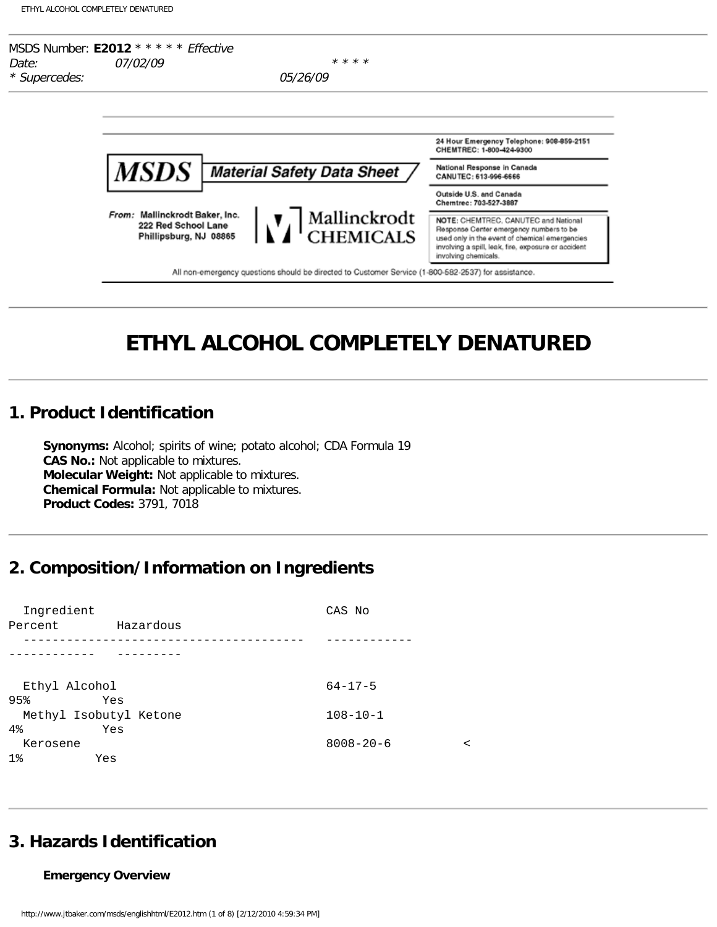

# **ETHYL ALCOHOL COMPLETELY DENATURED**

## **1. Product Identification**

**Synonyms:** Alcohol; spirits of wine; potato alcohol; CDA Formula 19 **CAS No.:** Not applicable to mixtures. **Molecular Weight:** Not applicable to mixtures. **Chemical Formula:** Not applicable to mixtures. **Product Codes:** 3791, 7018

## **2. Composition/Information on Ingredients**

| Ingredient    |                        | CAS No          |   |
|---------------|------------------------|-----------------|---|
| Percent       | Hazardous              |                 |   |
|               |                        |                 |   |
|               |                        |                 |   |
| Ethyl Alcohol |                        | $64 - 17 - 5$   |   |
| 95%           | Yes                    |                 |   |
|               | Methyl Isobutyl Ketone | $108 - 10 - 1$  |   |
| 4%            | Yes                    |                 |   |
| Kerosene      |                        | $8008 - 20 - 6$ | ≺ |
| $1\%$         | Yes                    |                 |   |

## **3. Hazards Identification**

### **Emergency Overview**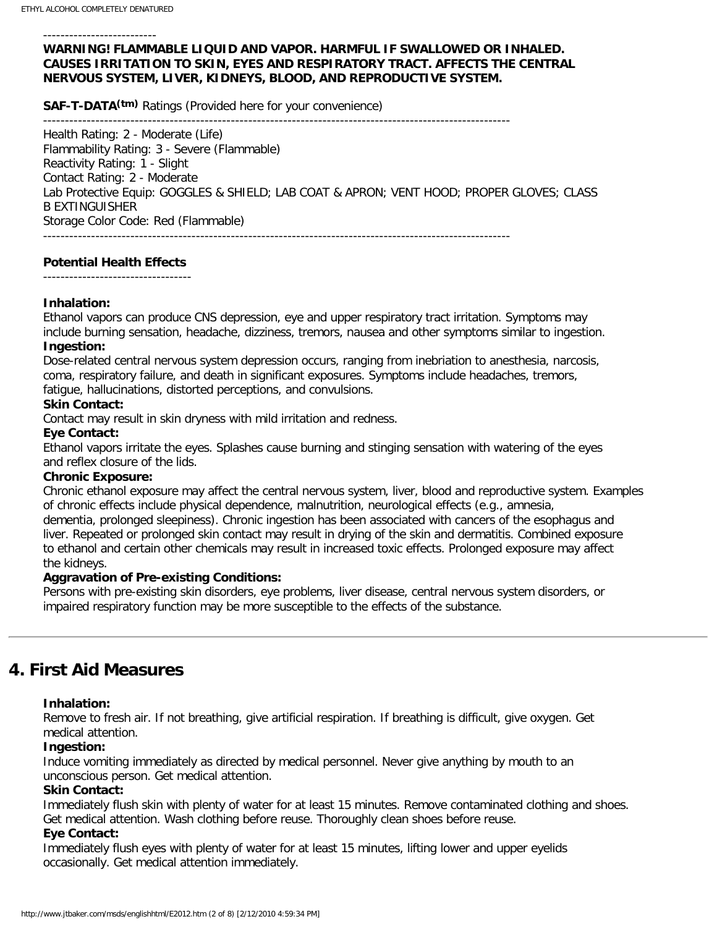#### --------------------------

## **WARNING! FLAMMABLE LIQUID AND VAPOR. HARMFUL IF SWALLOWED OR INHALED. CAUSES IRRITATION TO SKIN, EYES AND RESPIRATORY TRACT. AFFECTS THE CENTRAL NERVOUS SYSTEM, LIVER, KIDNEYS, BLOOD, AND REPRODUCTIVE SYSTEM.**

**SAF-T-DATA(tm)** Ratings (Provided here for your convenience)

-----------------------------------------------------------------------------------------------------------

Health Rating: 2 - Moderate (Life) Flammability Rating: 3 - Severe (Flammable) Reactivity Rating: 1 - Slight Contact Rating: 2 - Moderate Lab Protective Equip: GOGGLES & SHIELD; LAB COAT & APRON; VENT HOOD; PROPER GLOVES; CLASS B EXTINGUISHER Storage Color Code: Red (Flammable) -----------------------------------------------------------------------------------------------------------

### **Potential Health Effects**

### **Inhalation:**

Ethanol vapors can produce CNS depression, eye and upper respiratory tract irritation. Symptoms may include burning sensation, headache, dizziness, tremors, nausea and other symptoms similar to ingestion. **Ingestion:**

Dose-related central nervous system depression occurs, ranging from inebriation to anesthesia, narcosis, coma, respiratory failure, and death in significant exposures. Symptoms include headaches, tremors,

fatigue, hallucinations, distorted perceptions, and convulsions.

### **Skin Contact:**

Contact may result in skin dryness with mild irritation and redness.

### **Eye Contact:**

Ethanol vapors irritate the eyes. Splashes cause burning and stinging sensation with watering of the eyes and reflex closure of the lids.

## **Chronic Exposure:**

Chronic ethanol exposure may affect the central nervous system, liver, blood and reproductive system. Examples of chronic effects include physical dependence, malnutrition, neurological effects (e.g., amnesia, dementia, prolonged sleepiness). Chronic ingestion has been associated with cancers of the esophagus and liver. Repeated or prolonged skin contact may result in drying of the skin and dermatitis. Combined exposure to ethanol and certain other chemicals may result in increased toxic effects. Prolonged exposure may affect the kidneys.

### **Aggravation of Pre-existing Conditions:**

Persons with pre-existing skin disorders, eye problems, liver disease, central nervous system disorders, or impaired respiratory function may be more susceptible to the effects of the substance.

## **4. First Aid Measures**

### **Inhalation:**

Remove to fresh air. If not breathing, give artificial respiration. If breathing is difficult, give oxygen. Get medical attention.

### **Ingestion:**

Induce vomiting immediately as directed by medical personnel. Never give anything by mouth to an unconscious person. Get medical attention.

## **Skin Contact:**

Immediately flush skin with plenty of water for at least 15 minutes. Remove contaminated clothing and shoes. Get medical attention. Wash clothing before reuse. Thoroughly clean shoes before reuse.

## **Eye Contact:**

Immediately flush eyes with plenty of water for at least 15 minutes, lifting lower and upper eyelids occasionally. Get medical attention immediately.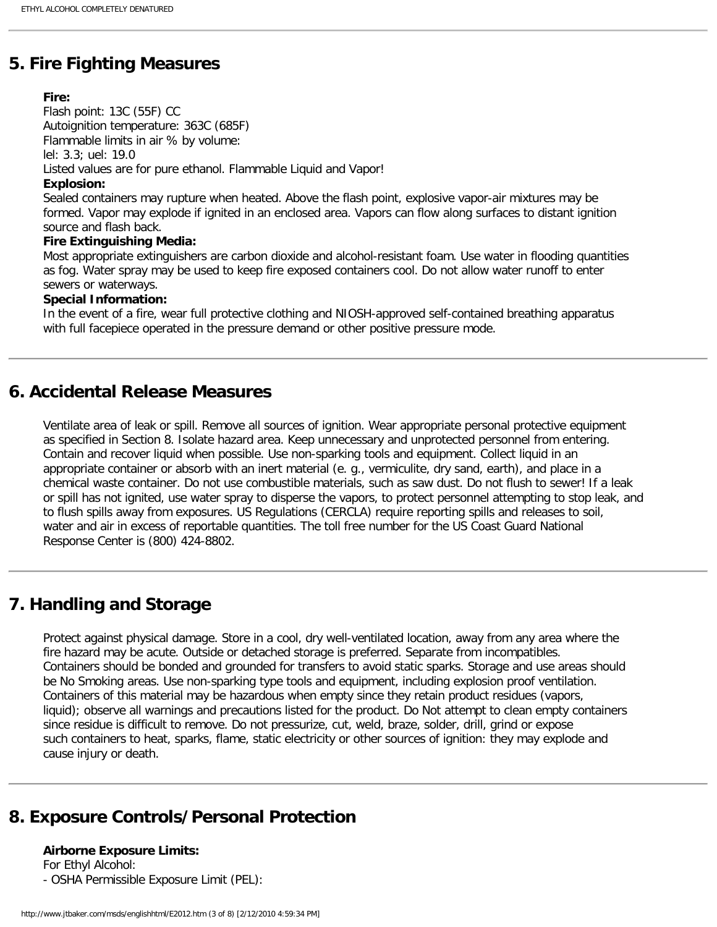## **5. Fire Fighting Measures**

## **Fire:**

Flash point: 13C (55F) CC Autoignition temperature: 363C (685F) Flammable limits in air % by volume: lel: 3.3; uel: 19.0 Listed values are for pure ethanol. Flammable Liquid and Vapor! **Explosion:**

Sealed containers may rupture when heated. Above the flash point, explosive vapor-air mixtures may be formed. Vapor may explode if ignited in an enclosed area. Vapors can flow along surfaces to distant ignition source and flash back.

### **Fire Extinguishing Media:**

Most appropriate extinguishers are carbon dioxide and alcohol-resistant foam. Use water in flooding quantities as fog. Water spray may be used to keep fire exposed containers cool. Do not allow water runoff to enter sewers or waterways.

## **Special Information:**

In the event of a fire, wear full protective clothing and NIOSH-approved self-contained breathing apparatus with full facepiece operated in the pressure demand or other positive pressure mode.

## **6. Accidental Release Measures**

Ventilate area of leak or spill. Remove all sources of ignition. Wear appropriate personal protective equipment as specified in Section 8. Isolate hazard area. Keep unnecessary and unprotected personnel from entering. Contain and recover liquid when possible. Use non-sparking tools and equipment. Collect liquid in an appropriate container or absorb with an inert material (e. g., vermiculite, dry sand, earth), and place in a chemical waste container. Do not use combustible materials, such as saw dust. Do not flush to sewer! If a leak or spill has not ignited, use water spray to disperse the vapors, to protect personnel attempting to stop leak, and to flush spills away from exposures. US Regulations (CERCLA) require reporting spills and releases to soil, water and air in excess of reportable quantities. The toll free number for the US Coast Guard National Response Center is (800) 424-8802.

## **7. Handling and Storage**

Protect against physical damage. Store in a cool, dry well-ventilated location, away from any area where the fire hazard may be acute. Outside or detached storage is preferred. Separate from incompatibles. Containers should be bonded and grounded for transfers to avoid static sparks. Storage and use areas should be No Smoking areas. Use non-sparking type tools and equipment, including explosion proof ventilation. Containers of this material may be hazardous when empty since they retain product residues (vapors, liquid); observe all warnings and precautions listed for the product. Do Not attempt to clean empty containers since residue is difficult to remove. Do not pressurize, cut, weld, braze, solder, drill, grind or expose such containers to heat, sparks, flame, static electricity or other sources of ignition: they may explode and cause injury or death.

## **8. Exposure Controls/Personal Protection**

**Airborne Exposure Limits:**

For Ethyl Alcohol:

- OSHA Permissible Exposure Limit (PEL):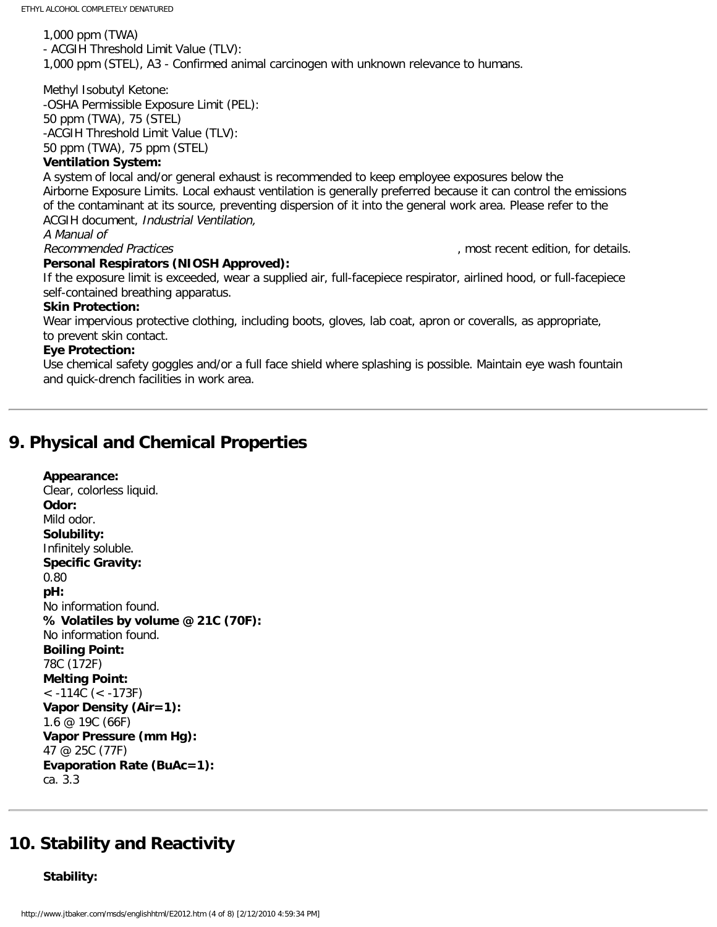1,000 ppm (TWA) - ACGIH Threshold Limit Value (TLV): 1,000 ppm (STEL), A3 - Confirmed animal carcinogen with unknown relevance to humans.

Methyl Isobutyl Ketone: -OSHA Permissible Exposure Limit (PEL): 50 ppm (TWA), 75 (STEL) -ACGIH Threshold Limit Value (TLV): 50 ppm (TWA), 75 ppm (STEL)

### **Ventilation System:**

A system of local and/or general exhaust is recommended to keep employee exposures below the Airborne Exposure Limits. Local exhaust ventilation is generally preferred because it can control the emissions of the contaminant at its source, preventing dispersion of it into the general work area. Please refer to the ACGIH document, Industrial Ventilation,

A Manual of

#### **Personal Respirators (NIOSH Approved):**

Recommended Practices (and the commended Practices of the commended Practices of the comment of the comment of the comment of the comment of the comment of the comment of the comment of the comment of the comment of the co

If the exposure limit is exceeded, wear a supplied air, full-facepiece respirator, airlined hood, or full-facepiece self-contained breathing apparatus.

#### **Skin Protection:**

Wear impervious protective clothing, including boots, gloves, lab coat, apron or coveralls, as appropriate, to prevent skin contact.

#### **Eye Protection:**

Use chemical safety goggles and/or a full face shield where splashing is possible. Maintain eye wash fountain and quick-drench facilities in work area.

## **9. Physical and Chemical Properties**

**Appearance:** Clear, colorless liquid. **Odor:** Mild odor. **Solubility:** Infinitely soluble. **Specific Gravity:** 0.80 **pH:** No information found. **% Volatiles by volume @ 21C (70F):** No information found. **Boiling Point:** 78C (172F) **Melting Point:** < -114C (< -173F) **Vapor Density (Air=1):** 1.6 @ 19C (66F) **Vapor Pressure (mm Hg):** 47 @ 25C (77F) **Evaporation Rate (BuAc=1):** ca. 3.3

## **10. Stability and Reactivity**

**Stability:**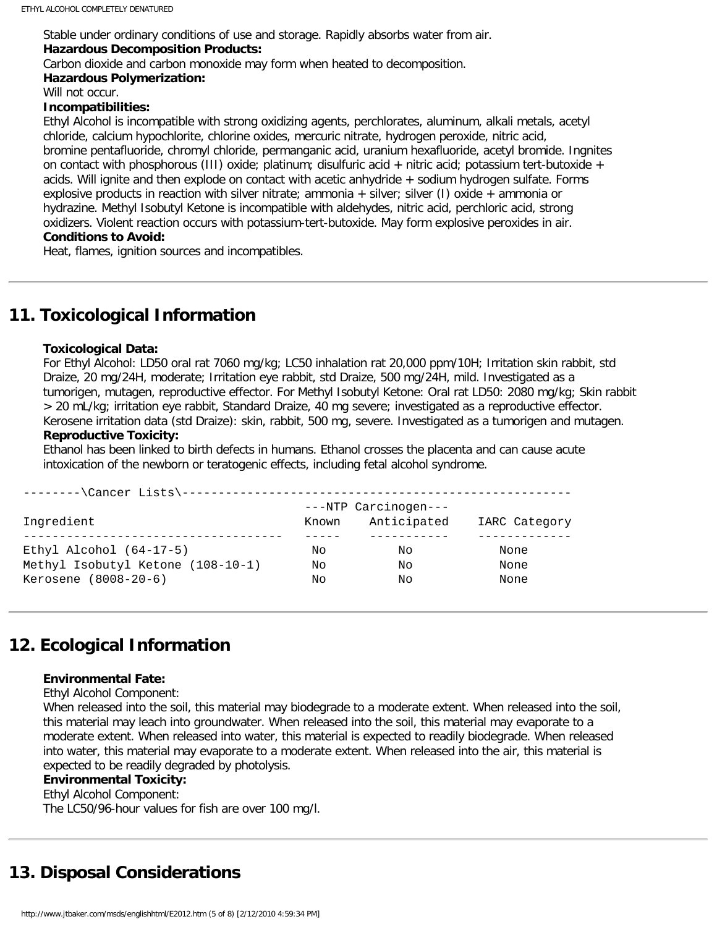Stable under ordinary conditions of use and storage. Rapidly absorbs water from air. **Hazardous Decomposition Products:**

Carbon dioxide and carbon monoxide may form when heated to decomposition.

### **Hazardous Polymerization:**

Will not occur.

#### **Incompatibilities:**

Ethyl Alcohol is incompatible with strong oxidizing agents, perchlorates, aluminum, alkali metals, acetyl chloride, calcium hypochlorite, chlorine oxides, mercuric nitrate, hydrogen peroxide, nitric acid, bromine pentafluoride, chromyl chloride, permanganic acid, uranium hexafluoride, acetyl bromide. Ingnites on contact with phosphorous (III) oxide; platinum; disulfuric acid + nitric acid; potassium tert-butoxide + acids. Will ignite and then explode on contact with acetic anhydride + sodium hydrogen sulfate. Forms explosive products in reaction with silver nitrate; ammonia + silver; silver (I) oxide + ammonia or hydrazine. Methyl Isobutyl Ketone is incompatible with aldehydes, nitric acid, perchloric acid, strong oxidizers. Violent reaction occurs with potassium-tert-butoxide. May form explosive peroxides in air. **Conditions to Avoid:**

Heat, flames, ignition sources and incompatibles.

## **11. Toxicological Information**

### **Toxicological Data:**

For Ethyl Alcohol: LD50 oral rat 7060 mg/kg; LC50 inhalation rat 20,000 ppm/10H; Irritation skin rabbit, std Draize, 20 mg/24H, moderate; Irritation eye rabbit, std Draize, 500 mg/24H, mild. Investigated as a tumorigen, mutagen, reproductive effector. For Methyl Isobutyl Ketone: Oral rat LD50: 2080 mg/kg; Skin rabbit > 20 mL/kg; irritation eye rabbit, Standard Draize, 40 mg severe; investigated as a reproductive effector. Kerosene irritation data (std Draize): skin, rabbit, 500 mg, severe. Investigated as a tumorigen and mutagen.

#### **Reproductive Toxicity:**

Ethanol has been linked to birth defects in humans. Ethanol crosses the placenta and can cause acute intoxication of the newborn or teratogenic effects, including fetal alcohol syndrome.

|                                   |       | ---NTP Carcinogen--- |               |
|-----------------------------------|-------|----------------------|---------------|
| Ingredient                        | Known | Anticipated          | IARC Category |
|                                   |       |                      |               |
| Ethyl Alcohol $(64-17-5)$         | Nο    | Nο                   | None          |
| Methyl Isobutyl Ketone (108-10-1) | Nο    | Nο                   | None          |
| Kerosene (8008-20-6)              | Nο    | Nο                   | None          |

## **12. Ecological Information**

### **Environmental Fate:**

Ethyl Alcohol Component:

When released into the soil, this material may biodegrade to a moderate extent. When released into the soil, this material may leach into groundwater. When released into the soil, this material may evaporate to a moderate extent. When released into water, this material is expected to readily biodegrade. When released into water, this material may evaporate to a moderate extent. When released into the air, this material is expected to be readily degraded by photolysis.

## **Environmental Toxicity:**

Ethyl Alcohol Component: The LC50/96-hour values for fish are over 100 mg/l.

## **13. Disposal Considerations**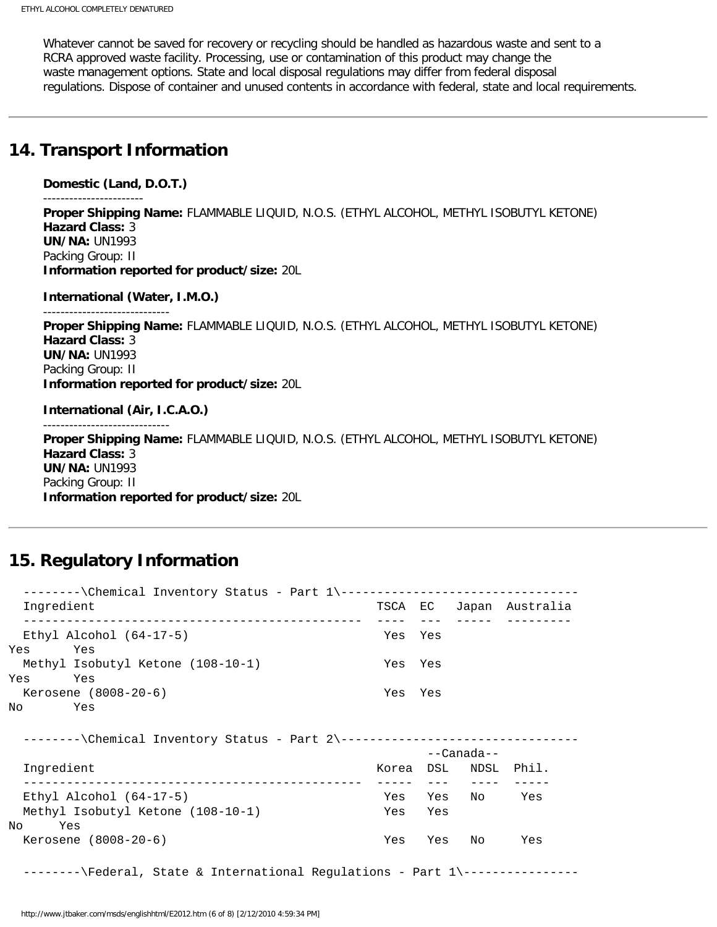Whatever cannot be saved for recovery or recycling should be handled as hazardous waste and sent to a RCRA approved waste facility. Processing, use or contamination of this product may change the waste management options. State and local disposal regulations may differ from federal disposal regulations. Dispose of container and unused contents in accordance with federal, state and local requirements.

## **14. Transport Information**

```
Domestic (Land, D.O.T.) 
----------------------- 
Proper Shipping Name: FLAMMABLE LIQUID, N.O.S. (ETHYL ALCOHOL, METHYL ISOBUTYL KETONE) 
Hazard Class: 3 
UN/NA: UN1993 
Packing Group: II 
Information reported for product/size: 20L 
International (Water, I.M.O.) 
----------------------------- 
Proper Shipping Name: FLAMMABLE LIQUID, N.O.S. (ETHYL ALCOHOL, METHYL ISOBUTYL KETONE) 
Hazard Class: 3 
UN/NA: UN1993 
Packing Group: II 
Information reported for product/size: 20L 
International (Air, I.C.A.O.) 
Proper Shipping Name: FLAMMABLE LIQUID, N.O.S. (ETHYL ALCOHOL, METHYL ISOBUTYL KETONE) 
Hazard Class: 3 
UN/NA: UN1993 
Packing Group: II 
Information reported for product/size: 20L
```
## **15. Regulatory Information**

| --------\Chemical Inventory Status - Part 1\---------------------------------- |         |         |                      |                         |
|--------------------------------------------------------------------------------|---------|---------|----------------------|-------------------------|
| Ingredient                                                                     |         |         |                      | TSCA EC Japan Australia |
| ______________________________________<br>Ethyl Alcohol $(64-17-5)$            | Yes Yes |         |                      |                         |
| Yes<br>Yes                                                                     |         |         |                      |                         |
| Methyl Isobutyl Ketone (108-10-1)                                              | Yes Yes |         |                      |                         |
| Yes<br>Yes                                                                     |         |         |                      |                         |
| Kerosene (8008-20-6)                                                           | Yes Yes |         |                      |                         |
| No Yes                                                                         |         |         |                      |                         |
|                                                                                |         |         |                      |                         |
| --------\Chemical Inventory Status - Part 2\---------------------------------- |         |         |                      |                         |
|                                                                                |         |         | --Canada--           |                         |
| Ingredient                                                                     |         |         | Korea DSL NDSL Phil. |                         |
|                                                                                |         |         |                      |                         |
| Ethyl Alcohol $(64-17-5)$                                                      |         |         | Yes Yes No           | Yes                     |
| Methyl Isobutyl Ketone (108-10-1)                                              |         | Yes Yes |                      |                         |
| No Yes                                                                         |         |         |                      |                         |
| Kerosene $(8008-20-6)$                                                         |         |         | Yes Yes No           | Yes                     |
|                                                                                |         |         |                      |                         |
| --------\Federal, State & International Regulations - Part 1\----------------  |         |         |                      |                         |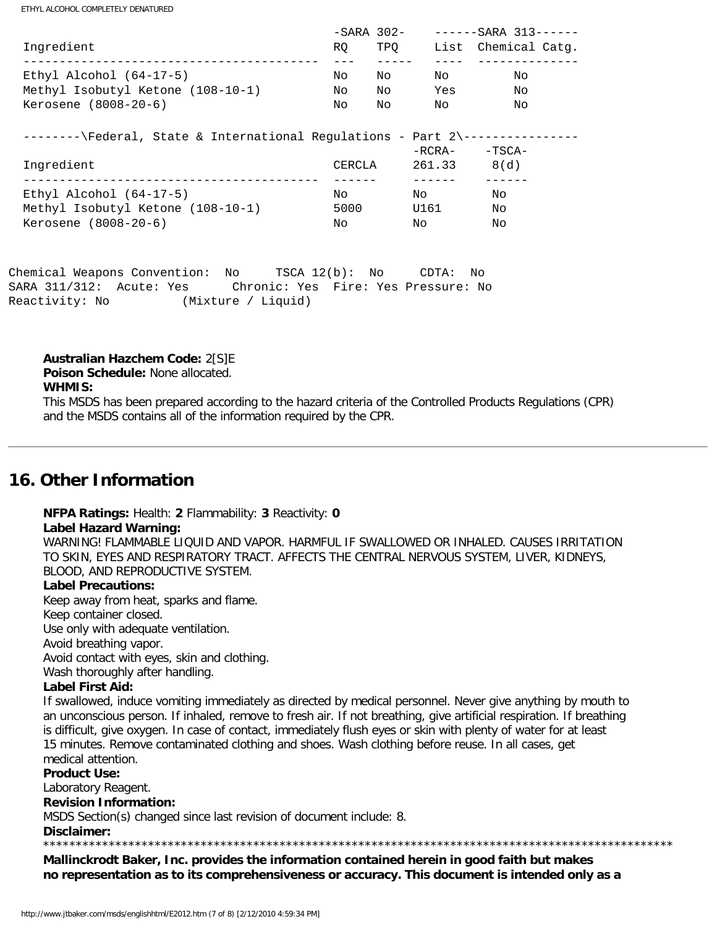ETHYL ALCOHOL COMPLETELY DENATURED

|                                                                               |                | -SARA 302-             |                 | ------SARA 313------ |
|-------------------------------------------------------------------------------|----------------|------------------------|-----------------|----------------------|
| Ingredient<br>___________________________________                             | RQ.            | TPO                    |                 | List Chemical Catq.  |
| Ethyl Alcohol $(64-17-5)$                                                     | No             | No                     | No              | No                   |
| Methyl Isobutyl Ketone (108-10-1)                                             | No             | Noted the North States | Yes             | No                   |
| Kerosene (8008-20-6)                                                          | No             | No                     | No              | No                   |
| --------\Federal, State & International Regulations - Part 2\---------------- |                |                        |                 |                      |
|                                                                               |                |                        | -RCRA-          | -TSCA-               |
| Ingredient                                                                    | CERCLA         |                        | $261.33$ $8(d)$ |                      |
| Ethyl Alcohol $(64-17-5)$                                                     | No             |                        | No              | No                   |
| Methyl Isobutyl Ketone (108-10-1)                                             | 5000           |                        | U161            | No                   |
| Kerosene (8008-20-6)                                                          | No             |                        | No              | No                   |
| Chemical Weapons Convention: No                                               | TSCA 12(b): NO |                        | $CDTA$ :        | No                   |

SARA 311/312: Acute: Yes Chronic: Yes Fire: Yes Pressure: No Reactivity: No (Mixture / Liquid)

#### **Australian Hazchem Code:** 2[S]E

**Poison Schedule:** None allocated.

#### **WHMIS:**

This MSDS has been prepared according to the hazard criteria of the Controlled Products Regulations (CPR) and the MSDS contains all of the information required by the CPR.

## **16. Other Information**

**NFPA Ratings:** Health: **2** Flammability: **3** Reactivity: **0 Label Hazard Warning:** WARNING! FLAMMABLE LIQUID AND VAPOR. HARMFUL IF SWALLOWED OR INHALED. CAUSES IRRITATION TO SKIN, EYES AND RESPIRATORY TRACT. AFFECTS THE CENTRAL NERVOUS SYSTEM, LIVER, KIDNEYS, BLOOD, AND REPRODUCTIVE SYSTEM.

#### **Label Precautions:**

Keep away from heat, sparks and flame.

Keep container closed.

Use only with adequate ventilation.

Avoid breathing vapor.

Avoid contact with eyes, skin and clothing.

Wash thoroughly after handling.

#### **Label First Aid:**

If swallowed, induce vomiting immediately as directed by medical personnel. Never give anything by mouth to an unconscious person. If inhaled, remove to fresh air. If not breathing, give artificial respiration. If breathing is difficult, give oxygen. In case of contact, immediately flush eyes or skin with plenty of water for at least 15 minutes. Remove contaminated clothing and shoes. Wash clothing before reuse. In all cases, get medical attention.

#### **Product Use:**

Laboratory Reagent.

### **Revision Information:**

MSDS Section(s) changed since last revision of document include: 8.

#### **Disclaimer:**

**Mallinckrodt Baker, Inc. provides the information contained herein in good faith but makes no representation as to its comprehensiveness or accuracy. This document is intended only as a** 

\*\*\*\*\*\*\*\*\*\*\*\*\*\*\*\*\*\*\*\*\*\*\*\*\*\*\*\*\*\*\*\*\*\*\*\*\*\*\*\*\*\*\*\*\*\*\*\*\*\*\*\*\*\*\*\*\*\*\*\*\*\*\*\*\*\*\*\*\*\*\*\*\*\*\*\*\*\*\*\*\*\*\*\*\*\*\*\*\*\*\*\*\*\*\*\*